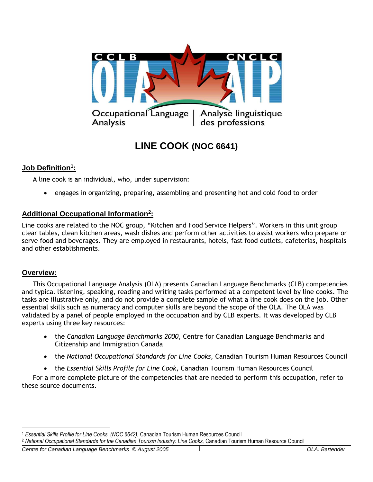

# **LINE COOK (NOC 6641)**

# **Job Definition<sup>1</sup> :**

A line cook is an individual, who, under supervision:

engages in organizing, preparing, assembling and presenting hot and cold food to order

# **Additional Occupational Information<sup>2</sup> :**

Line cooks are related to the NOC group, "Kitchen and Food Service Helpers". Workers in this unit group clear tables, clean kitchen areas, wash dishes and perform other activities to assist workers who prepare or serve food and beverages. They are employed in restaurants, hotels, fast food outlets, cafeterias, hospitals and other establishments.

# **Overview:**

 $\overline{a}$ 

This Occupational Language Analysis (OLA) presents Canadian Language Benchmarks (CLB) competencies and typical listening, speaking, reading and writing tasks performed at a competent level by line cooks. The tasks are illustrative only, and do not provide a complete sample of what a line cook does on the job. Other essential skills such as numeracy and computer skills are beyond the scope of the OLA. The OLA was validated by a panel of people employed in the occupation and by CLB experts. It was developed by CLB experts using three key resources:

- the *Canadian Language Benchmarks 2000*, Centre for Canadian Language Benchmarks and Citizenship and Immigration Canada
- the *National Occupational Standards for Line Cooks*, Canadian Tourism Human Resources Council
- the *Essential Skills Profile for Line Cook*, Canadian Tourism Human Resources Council

For a more complete picture of the competencies that are needed to perform this occupation, refer to these source documents.

<sup>2</sup> National Occupational Standards for the Canadian Tourism Industry: Line Cooks, Canadian Tourism Human Resource Council

*Centre for Canadian Language Benchmarks © August 2005* 1 *OLA: Bartender*

<sup>1</sup> *Essential Skills Profile for Line Cooks (NOC 6642),* Canadian Tourism Human Resources Council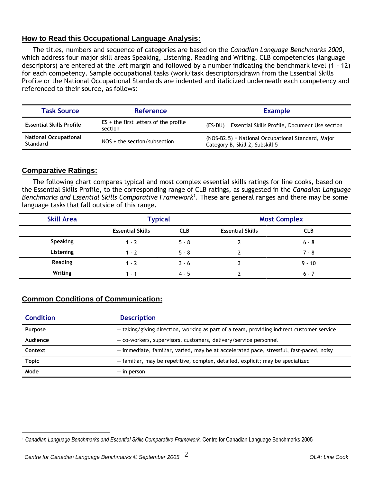# **How to Read this Occupational Language Analysis:**

The titles, numbers and sequence of categories are based on the *Canadian Language Benchmarks 2000*, which address four major skill areas Speaking, Listening, Reading and Writing. CLB competencies (language descriptors) are entered at the left margin and followed by a number indicating the benchmark level (1 – 12) for each competency. Sample occupational tasks (work/task descriptors)drawn from the Essential Skills Profile or the National Occupational Standards are indented and italicized underneath each competency and referenced to their source, as follows:

| <b>Task Source</b>                              | <b>Reference</b>                                   | <b>Example</b>                                                                        |
|-------------------------------------------------|----------------------------------------------------|---------------------------------------------------------------------------------------|
| <b>Essential Skills Profile</b>                 | $ES +$ the first letters of the profile<br>section | (ES-DU) = Essential Skills Profile, Document Use section                              |
| <b>National Occupational</b><br><b>Standard</b> | $NOS + the section/subsection$                     | (NOS-B2.5) = National Occupational Standard, Major<br>Category B, Skill 2; Subskill 5 |

# **Comparative Ratings:**

The following chart compares typical and most complex essential skills ratings for line cooks, based on the Essential Skills Profile, to the corresponding range of CLB ratings, as suggested in the *Canadian Language Benchmarks and Essential Skills Comparative Framework<sup>1</sup>* . These are general ranges and there may be some language tasks that fall outside of this range.

| <b>Skill Area</b> | <b>Typical</b>          |            | <b>Most Complex</b>     |            |
|-------------------|-------------------------|------------|-------------------------|------------|
|                   | <b>Essential Skills</b> | <b>CLB</b> | <b>Essential Skills</b> | <b>CLB</b> |
| Speaking          | $1 - 2$                 | $5 - 8$    |                         | $6 - 8$    |
| Listening         | $1 - 7$                 | $5 - 8$    |                         | $7 - 8$    |
| <b>Reading</b>    | $1 - 7$                 | $3 - 6$    |                         | $9 - 10$   |
| Writing           | 1 - 1                   | 4 - 5      |                         | $6 - 7$    |

# **Common Conditions of Communication:**

| <b>Condition</b> | <b>Description</b>                                                                        |
|------------------|-------------------------------------------------------------------------------------------|
| Purpose          | - taking/giving direction, working as part of a team, providing indirect customer service |
| Audience         | - co-workers, supervisors, customers, delivery/service personnel                          |
| Context          | - immediate, familiar, varied, may be at accelerated pace, stressful, fast-paced, noisy   |
| <b>Topic</b>     | - familiar, may be repetitive, complex, detailed, explicit; may be specialized            |
| Mode             | $-$ in person                                                                             |

 $\overline{a}$ <sup>1</sup> *Canadian Language Benchmarks and Essential Skills Comparative Framework,* Centre for Canadian Language Benchmarks 2005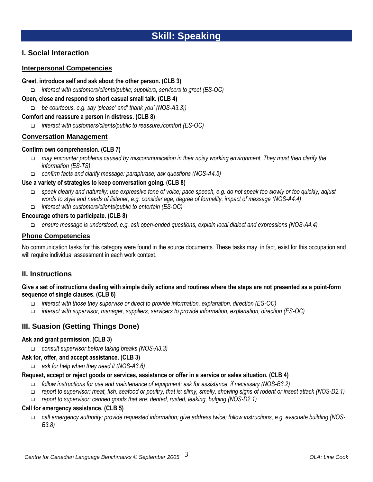# **I. Social Interaction**

### **Interpersonal Competencies**

#### **Greet, introduce self and ask about the other person. (CLB 3)**

*interact with customers/clients/public; suppliers, servicers to greet (ES-OC)*

#### **Open, close and respond to short casual small talk. (CLB 4)**

*be courteous, e.g. say 'please' and' thank you' (NOS-A3.3))* 

#### **Comfort and reassure a person in distress. (CLB 8)**

*interact with customers/clients/public to reassure./comfort (ES-OC)*

#### **Conversation Management**

#### **Confirm own comprehension. (CLB 7)**

- *may encounter problems caused by miscommunication in their noisy working environment. They must then clarify the information (ES-TS)*
- *confirm facts and clarify message: paraphrase; ask questions (NOS-A4.5)*

#### **Use a variety of strategies to keep conversation going. (CLB 8)**

- *speak clearly and naturally; use expressive tone of voice; pace speech, e.g. do not speak too slowly or too quickly; adjust words to style and needs of listener, e.g. consider age, degree of formality, impact of message (NOS-A4.4)*
- *interact with customers/clients/public to entertain (ES-OC)*

#### **Encourage others to participate. (CLB 8)**

*ensure message is understood, e.g. ask open-ended questions, explain local dialect and expressions (NOS-A4.4)* 

#### **Phone Competencies**

No communication tasks for this category were found in the source documents. These tasks may, in fact, exist for this occupation and will require individual assessment in each work context.

# **II. Instructions**

#### **Give a set of instructions dealing with simple daily actions and routines where the steps are not presented as a point-form sequence of single clauses. (CLB 6)**

- *interact with those they supervise or direct to provide information, explanation, direction (ES-OC)*
- *interact with supervisor, manager, suppliers, servicers to provide information, explanation, direction (ES-OC)*

# **III. Suasion (Getting Things Done)**

#### **Ask and grant permission. (CLB 3)**

*consult supervisor before taking breaks (NOS-A3.3)* 

#### **Ask for, offer, and accept assistance. (CLB 3)**

*ask for help when they need it (NOS-A3.6)* 

#### **Request, accept or reject goods or services, assistance or offer in a service or sales situation. (CLB 4)**

- *follow instructions for use and maintenance of equipment: ask for assistance, if necessary (NOS-B3.2)*
- *report to supervisor: meat, fish, seafood or poultry, that is: slimy, smelly, showing signs of rodent or insect attack (NOS-D2.1)*
- *report to supervisor: canned goods that are: dented, rusted, leaking, bulging (NOS-D2.1)*

#### **Call for emergency assistance. (CLB 5)**

 *call emergency authority; provide requested information; give address twice; follow instructions, e.g. evacuate building (NOS-B3.8)*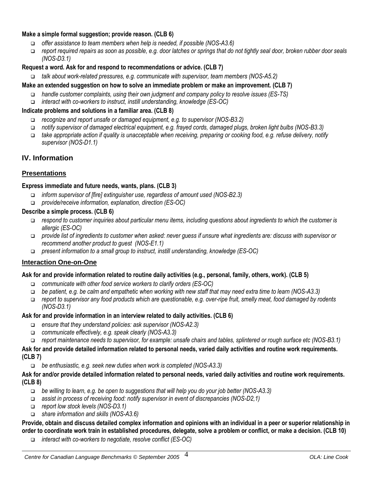#### **Make a simple formal suggestion; provide reason. (CLB 6)**

- *offer assistance to team members when help is needed, if possible (NOS-A3.6)*
- *report required repairs as soon as possible, e.g. door latches or springs that do not tightly seal door, broken rubber door seals (NOS-D3.1)*

#### **Request a word. Ask for and respond to recommendations or advice. (CLB 7)**

*talk about work-related pressures, e.g. communicate with supervisor, team members (NOS-A5.2)* 

#### **Make an extended suggestion on how to solve an immediate problem or make an improvement. (CLB 7)**

- *handle customer complaints, using their own judgment and company policy to resolve issues (ES-TS)*
- *interact with co-workers to instruct, instill understanding, knowledge (ES-OC)*

#### **Indicate problems and solutions in a familiar area. (CLB 8)**

- *recognize and report unsafe or damaged equipment, e.g. to supervisor (NOS-B3.2)*
- *notify supervisor of damaged electrical equipment, e.g. frayed cords, damaged plugs, broken light bulbs (NOS-B3.3)*
- *take appropriate action if quality is unacceptable when receiving, preparing or cooking food, e.g. refuse delivery, notify supervisor (NOS-D1.1)*

# **IV. Information**

#### **Presentations**

#### **Express immediate and future needs, wants, plans. (CLB 3)**

- *inform supervisor of [fire] extinguisher use, regardless of amount used (NOS-B2.3)*
- *provide/receive information, explanation, direction (ES-OC)*

#### **Describe a simple process. (CLB 6)**

- *respond to customer inquiries about particular menu items, including questions about ingredients to which the customer is allergic (ES-OC)*
- *provide list of ingredients to customer when asked: never guess if unsure what ingredients are: discuss with supervisor or recommend another product to guest (NOS-E1.1)*
- *present information to a small group to instruct, instill understanding, knowledge (ES-OC)*

#### **Interaction One-on-One**

#### **Ask for and provide information related to routine daily activities (e.g., personal, family, others, work). (CLB 5)**

- *communicate with other food service workers to clarify orders (ES-OC)*
- *be patient, e.g. be calm and empathetic when working with new staff that may need extra time to learn (NOS-A3.3)*
- *report to supervisor any food products which are questionable, e.g. over-ripe fruit, smelly meat, food damaged by rodents (NOS-D3.1)*

#### **Ask for and provide information in an interview related to daily activities. (CLB 6)**

- *ensure that they understand policies: ask supervisor (NOS-A2.3)*
- *communicate effectively, e.g. speak clearly (NOS-A3.3)*
- *report maintenance needs to supervisor, for example: unsafe chairs and tables, splintered or rough surface etc (NOS-B3.1)*

#### **Ask for and provide detailed information related to personal needs, varied daily activities and routine work requirements. (CLB 7)**

*be enthusiastic, e.g. seek new duties when work is completed (NOS-A3.3)* 

#### **Ask for and/or provide detailed information related to personal needs, varied daily activities and routine work requirements. (CLB 8)**

- *be willing to learn, e.g. be open to suggestions that will help you do your job better (NOS-A3.3)*
- *assist in process of receiving food: notify supervisor in event of discrepancies (NOS-D2,1)*
- *report low stock levels (NOS-D3.1)*
- *share information and skills (NOS-A3.6)*

#### **Provide, obtain and discuss detailed complex information and opinions with an individual in a peer or superior relationship in order to coordinate work train in established procedures, delegate, solve a problem or conflict, or make a decision. (CLB 10)**

*interact with co-workers to negotiate, resolve conflict (ES-OC)*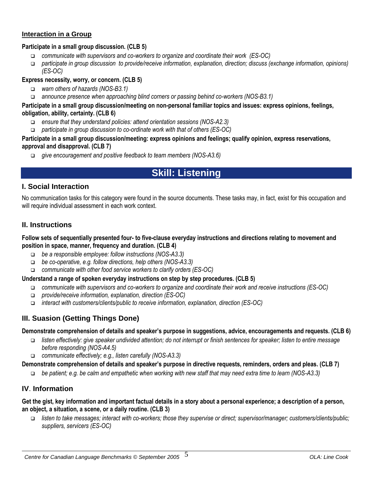#### **Interaction in a Group**

#### **Participate in a small group discussion. (CLB 5)**

- *communicate with supervisors and co-workers to organize and coordinate their work (ES-OC)*
- *participate in group discussion to provide/receive information, explanation, direction; discuss (exchange information, opinions) (ES-OC)*

### **Express necessity, worry, or concern. (CLB 5)**

- *warn others of hazards (NOS-B3.1)*
- *announce presence when approaching blind corners or passing behind co-workers (NOS-B3.1)*

#### **Participate in a small group discussion/meeting on non-personal familiar topics and issues: express opinions, feelings, obligation, ability, certainty. (CLB 6)**

- *ensure that they understand policies: attend orientation sessions (NOS-A2.3)*
- *participate in group discussion to co-ordinate work with that of others (ES-OC)*

#### **Participate in a small group discussion/meeting: express opinions and feelings; qualify opinion, express reservations, approval and disapproval. (CLB 7)**

*give encouragement and positive feedback to team members (NOS-A3.6)* 

# **Skill: Listening**

# **I. Social Interaction**

No communication tasks for this category were found in the source documents. These tasks may, in fact, exist for this occupation and will require individual assessment in each work context.

#### **II. Instructions**

#### **Follow sets of sequentially presented four- to five-clause everyday instructions and directions relating to movement and position in space, manner, frequency and duration. (CLB 4)**

- *be a responsible employee: follow instructions (NOS-A3.3)*
- *be co-operative, e.g. follow directions, help others (NOS-A3.3)*
- *communicate with other food service workers to clarify orders (ES-OC)*

#### **Understand a range of spoken everyday instructions on step by step procedures. (CLB 5)**

- *communicate with supervisors and co-workers to organize and coordinate their work and receive instructions (ES-OC)*
- *provide/receive information, explanation, direction (ES-OC)*
- *interact with customers/clients/public to receive information, explanation, direction (ES-OC)*

# **III. Suasion (Getting Things Done)**

#### **Demonstrate comprehension of details and speaker's purpose in suggestions, advice, encouragements and requests. (CLB 6)**

- *listen effectively: give speaker undivided attention; do not interrupt or finish sentences for speaker; listen to entire message before responding (NOS-A4.5)*
- *communicate effectively; e.g., listen carefully (NOS-A3.3)*

#### **Demonstrate comprehension of details and speaker's purpose in directive requests, reminders, orders and pleas. (CLB 7)**

*be patient; e.g. be calm and empathetic when working with new staff that may need extra time to learn (NOS-A3.3)*

# **IV**. **Information**

#### **Get the gist, key information and important factual details in a story about a personal experience; a description of a person, an object, a situation, a scene, or a daily routine. (CLB 3)**

 *listen to take messages; interact with co-workers; those they supervise or direct; supervisor/manager; customers/clients/public; suppliers, servicers (ES-OC)*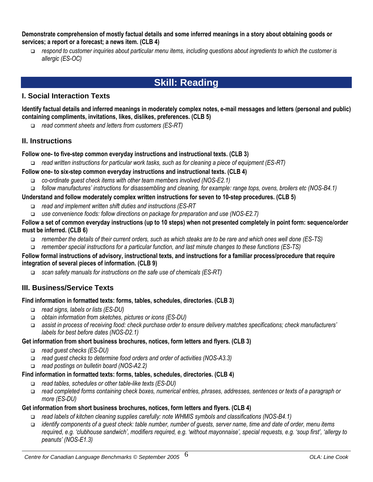#### **Demonstrate comprehension of mostly factual details and some inferred meanings in a story about obtaining goods or services; a report or a forecast; a news item. (CLB 4)**

 *respond to customer inquiries about particular menu items, including questions about ingredients to which the customer is allergic (ES-OC)*

# **Skill: Reading**

# **I. Social Interaction Texts**

**Identify factual details and inferred meanings in moderately complex notes, e-mail messages and letters (personal and public) containing compliments, invitations, likes, dislikes, preferences. (CLB 5)**

*read comment sheets and letters from customers (ES-RT)*

# **II. Instructions**

#### **Follow one- to five-step common everyday instructions and instructional texts. (CLB 3)**

*read written instructions for particular work tasks, such as for cleaning a piece of equipment (ES-RT)*

# **Follow one- to six-step common everyday instructions and instructional texts. (CLB 4)**

- *co-ordinate guest check items with other team members involved (NOS-E2.1)*
- *follow manufactures' instructions for disassembling and cleaning, for example: range tops, ovens, broilers etc (NOS-B4.1)*

#### **Understand and follow moderately complex written instructions for seven to 10-step procedures. (CLB 5)**

- *read and implement written shift duties and instructions (ES-RT*
- *use convenience foods: follow directions on package for preparation and use (NOS-E2.7)*

#### **Follow a set of common everyday instructions (up to 10 steps) when not presented completely in point form: sequence/order must be inferred. (CLB 6)**

- *remember the details of their current orders, such as which steaks are to be rare and which ones well done (ES-TS)*
- *remember special instructions for a particular function, and last minute changes to these functions (ES-TS)*

#### **Follow formal instructions of advisory, instructional texts, and instructions for a familiar process/procedure that require integration of several pieces of information. (CLB 9)**

*scan safety manuals for instructions on the safe use of chemicals (ES-RT)*

# **III. Business/Service Texts**

#### **Find information in formatted texts: forms, tables, schedules, directories. (CLB 3)**

- *read signs, labels or lists (ES-DU)*
- *obtain information from sketches, pictures or icons (ES-DU)*
- *assist in process of receiving food: check purchase order to ensure delivery matches specifications; check manufacturers' labels for best before dates (NOS-D2.1)*

# **Get information from short business brochures, notices, form letters and flyers. (CLB 3)**

- *read guest checks (ES-DU)*
- *read guest checks to determine food orders and order of activities (NOS-A3.3)*
- *read postings on bulletin board (NOS-A2.2)*

#### **Find information in formatted texts: forms, tables, schedules, directories. (CLB 4)**

- *read tables, schedules or other table-like texts (ES-DU)*
- *read completed forms containing check boxes, numerical entries, phrases, addresses, sentences or texts of a paragraph or more (ES-DU)*

#### **Get information from short business brochures, notices, form letters and flyers. (CLB 4)**

- *read labels of kitchen cleaning supplies carefully: note WHMIS symbols and classifications (NOS-B4.1)*
- *identify components of a guest check: table number, number of guests, server name, time and date of order, menu items required, e.g. 'clubhouse sandwich', modifiers required, e.g. 'without mayonnaise', special requests, e.g. 'soup first', 'allergy to peanuts' (NOS-E1.3)*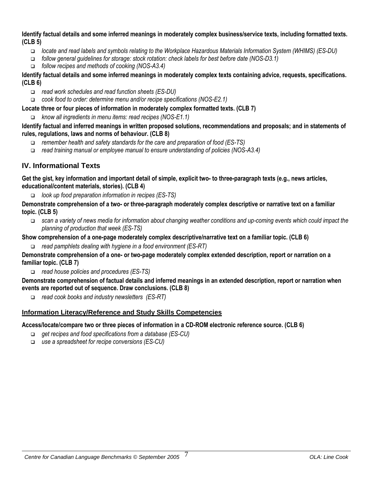**Identify factual details and some inferred meanings in moderately complex business/service texts, including formatted texts. (CLB 5)**

- *locate and read labels and symbols relating to the Workplace Hazardous Materials Information System (WHIMS) (ES-DU)*
- *follow general guidelines for storage: stock rotation: check labels for best before date (NOS-D3.1)*
- *follow recipes and methods of cooking (NOS-A3.4)*

**Identify factual details and some inferred meanings in moderately complex texts containing advice, requests, specifications. (CLB 6)**

*read work schedules and read function sheets (ES-DU)*

*cook food to order: determine menu and/or recipe specifications (NOS-E2.1)*

**Locate three or four pieces of information in moderately complex formatted texts. (CLB 7)**

*know all ingredients in menu items: read recipes (NOS-E1.1)*

**Identify factual and inferred meanings in written proposed solutions, recommendations and proposals; and in statements of rules, regulations, laws and norms of behaviour. (CLB 8)**

- *remember health and safety standards for the care and preparation of food (ES-TS)*
- *read training manual or employee manual to ensure understanding of policies (NOS-A3.4)*

# **IV. Informational Texts**

**Get the gist, key information and important detail of simple, explicit two- to three-paragraph texts (e.g., news articles, educational/content materials, stories). (CLB 4)**

*look up food preparation information in recipes (ES-TS)* 

**Demonstrate comprehension of a two- or three-paragraph moderately complex descriptive or narrative text on a familiar topic. (CLB 5)**

 *scan a variety of news media for information about changing weather conditions and up-coming events which could impact the planning of production that week (ES-TS)* 

**Show comprehension of a one-page moderately complex descriptive/narrative text on a familiar topic. (CLB 6)**

*read pamphlets dealing with hygiene in a food environment (ES-RT)*

**Demonstrate comprehension of a one- or two-page moderately complex extended description, report or narration on a familiar topic. (CLB 7)**

*read house policies and procedures (ES-TS)*

**Demonstrate comprehension of factual details and inferred meanings in an extended description, report or narration when events are reported out of sequence. Draw conclusions. (CLB 8)**

*read cook books and industry newsletters (ES-RT)*

#### **Information Literacy/Reference and Study Skills Competencies**

**Access/locate/compare two or three pieces of information in a CD-ROM electronic reference source. (CLB 6)**

- *get recipes and food specifications from a database (ES-CU)*
- *use a spreadsheet for recipe conversions (ES-CU)*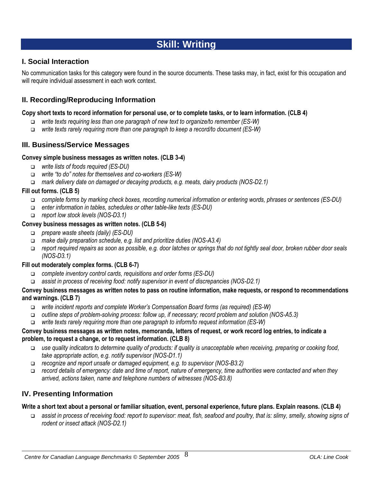# **Skill: Writing**

# **I. Social Interaction**

No communication tasks for this category were found in the source documents. These tasks may, in fact, exist for this occupation and will require individual assessment in each work context.

# **II. Recording/Reproducing Information**

#### **Copy short texts to record information for personal use, or to complete tasks, or to learn information. (CLB 4)**

- *write texts requiring less than one paragraph of new text to organize/to remember (ES-W)*
- *write texts rarely requiring more than one paragraph to keep a record/to document (ES-W)*

# **III. Business/Service Messages**

#### **Convey simple business messages as written notes. (CLB 3-4)**

- *write lists of foods required (ES-DU)*
- *write "to do" notes for themselves and co-workers (ES-W)*
- *mark delivery date on damaged or decaying products, e.g. meats, dairy products (NOS-D2.1)*

#### **Fill out forms. (CLB 5)**

- *complete forms by marking check boxes, recording numerical information or entering words, phrases or sentences (ES-DU)*
- *enter information in tables, schedules or other table-like texts (ES-DU)*
- *report low stock levels (NOS-D3.1)*

#### **Convey business messages as written notes. (CLB 5-6)**

- *prepare waste sheets (daily) (ES-DU)*
- *make daily preparation schedule, e.g. list and prioritize duties (NOS-A3.4)*
- *report required repairs as soon as possible, e.g. door latches or springs that do not tightly seal door, broken rubber door seals (NOS-D3.1)*

#### **Fill out moderately complex forms. (CLB 6-7)**

- *complete inventory control cards, requisitions and order forms (ES-DU)*
- *assist in process of receiving food: notify supervisor in event of discrepancies (NOS-D2.1)*

#### **Convey business messages as written notes to pass on routine information, make requests, or respond to recommendations and warnings. (CLB 7)**

- *write incident reports and complete Worker's Compensation Board forms (as required) (ES-W)*
- *outline steps of problem-solving process: follow up, if necessary; record problem and solution (NOS-A5.3)*
- *write texts rarely requiring more than one paragraph to inform/to request information (ES-W)*

#### **Convey business messages as written notes, memoranda, letters of request, or work record log entries, to indicate a problem, to request a change, or to request information. (CLB 8)**

- *use quality indicators to determine quality of products: if quality is unacceptable when receiving, preparing or cooking food, take appropriate action, e.g. notify supervisor (NOS-D1.1)*
- *recognize and report unsafe or damaged equipment, e.g. to supervisor (NOS-B3.2)*
- *record details of emergency: date and time of report, nature of emergency, time authorities were contacted and when they arrived, actions taken, name and telephone numbers of witnesses (NOS-B3.8)*

# **IV. Presenting Information**

#### **Write a short text about a personal or familiar situation, event, personal experience, future plans. Explain reasons. (CLB 4)**

 *assist in process of receiving food: report to supervisor: meat, fish, seafood and poultry, that is: slimy, smelly, showing signs of rodent or insect attack (NOS-D2.1)*